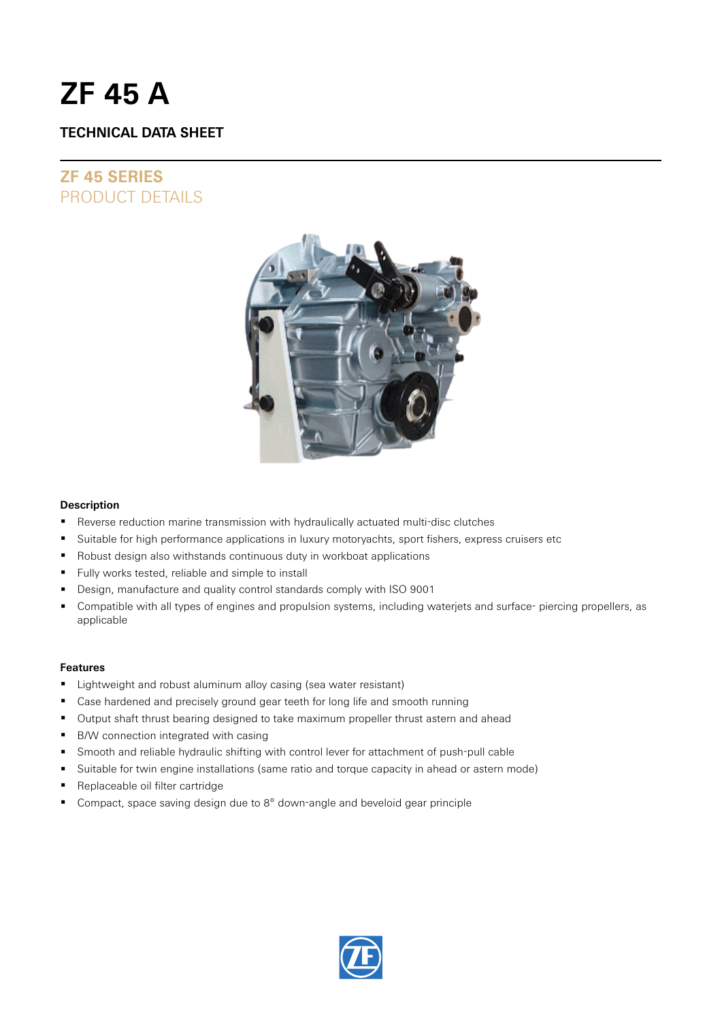# **ZF 45 A**

# **TECHNICAL DATA SHEET**

# **ZF 45 SERIES** PRODUCT DETAILS



#### **Description**

- Reverse reduction marine transmission with hydraulically actuated multi-disc clutches
- Suitable for high performance applications in luxury motoryachts, sport fishers, express cruisers etc
- Robust design also withstands continuous duty in workboat applications
- Fully works tested, reliable and simple to install
- Design, manufacture and quality control standards comply with ISO 9001
- Compatible with all types of engines and propulsion systems, including waterjets and surface- piercing propellers, as applicable

#### **Features**

- **EXECT** Lightweight and robust aluminum alloy casing (sea water resistant)
- Case hardened and precisely ground gear teeth for long life and smooth running
- Output shaft thrust bearing designed to take maximum propeller thrust astern and ahead
- B/W connection integrated with casing
- Smooth and reliable hydraulic shifting with control lever for attachment of push-pull cable
- Suitable for twin engine installations (same ratio and torque capacity in ahead or astern mode)
- Replaceable oil filter cartridge
- Compact, space saving design due to 8° down-angle and beveloid gear principle

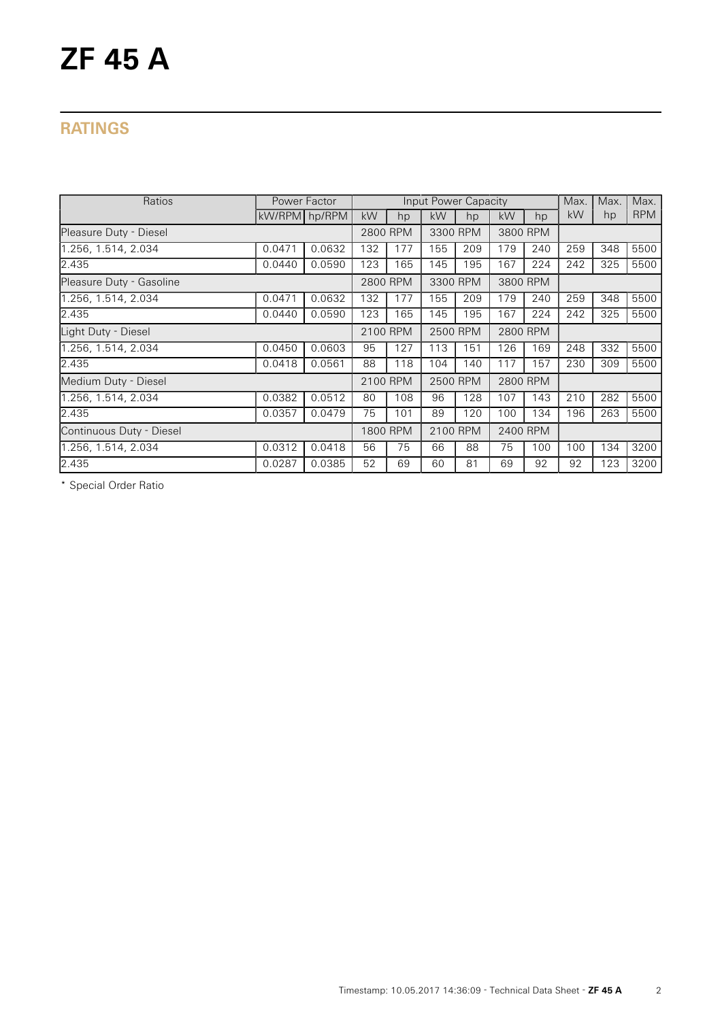# **RATINGS**

| Ratios                   | Power Factor  |        |          |     | Input Power Capacity |     |           |     | Max. | Max. | Max.       |
|--------------------------|---------------|--------|----------|-----|----------------------|-----|-----------|-----|------|------|------------|
|                          | kW/RPM hp/RPM |        | kW       | hp  | kW                   | hp  | <b>kW</b> | hp  | kW   | hp   | <b>RPM</b> |
| Pleasure Duty - Diesel   |               |        | 2800 RPM |     | 3300 RPM             |     | 3800 RPM  |     |      |      |            |
| 1.256, 1.514, 2.034      | 0.0471        | 0.0632 | 132      | 177 | 155                  | 209 | 179       | 240 | 259  | 348  | 5500       |
| 2.435                    | 0.0440        | 0.0590 | 123      | 165 | 145                  | 195 | 167       | 224 | 242  | 325  | 5500       |
| Pleasure Duty - Gasoline |               |        | 2800 RPM |     | 3300 RPM             |     | 3800 RPM  |     |      |      |            |
| 1.256, 1.514, 2.034      | 0.0471        | 0.0632 | 132      | 177 | 155                  | 209 | 179       | 240 | 259  | 348  | 5500       |
| 2.435                    | 0.0440        | 0.0590 | 123      | 165 | 145                  | 195 | 167       | 224 | 242  | 325  | 5500       |
| Light Duty - Diesel      |               |        | 2100 RPM |     | 2500 RPM             |     | 2800 RPM  |     |      |      |            |
| 1.256, 1.514, 2.034      | 0.0450        | 0.0603 | 95       | 127 | 113                  | 151 | 126       | 169 | 248  | 332  | 5500       |
| 2.435                    | 0.0418        | 0.0561 | 88       | 118 | 104                  | 140 | 117       | 157 | 230  | 309  | 5500       |
| Medium Duty - Diesel     |               |        | 2100 RPM |     | 2500 RPM             |     | 2800 RPM  |     |      |      |            |
| 1.256, 1.514, 2.034      | 0.0382        | 0.0512 | 80       | 108 | 96                   | 128 | 107       | 143 | 210  | 282  | 5500       |
| 2.435                    | 0.0357        | 0.0479 | 75       | 101 | 89                   | 120 | 100       | 134 | 196  | 263  | 5500       |
| Continuous Duty - Diesel |               |        | 1800 RPM |     | 2100 RPM             |     | 2400 RPM  |     |      |      |            |
| 1.256, 1.514, 2.034      | 0.0312        | 0.0418 | 56       | 75  | 66                   | 88  | 75        | 100 | 100  | 134  | 3200       |
| 2.435                    | 0.0287        | 0.0385 | 52       | 69  | 60                   | 81  | 69        | 92  | 92   | 123  | 3200       |

\* Special Order Ratio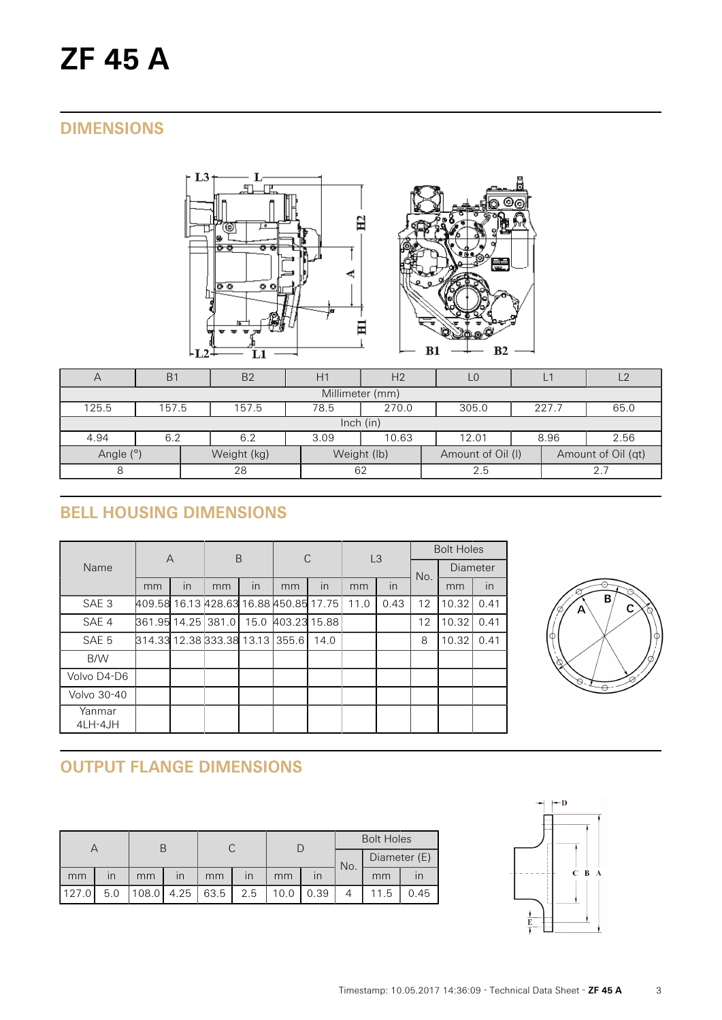# **DIMENSIONS**





| $\forall$       | <b>B1</b>                                                 | B <sub>2</sub> | H1   | H2          |                   | L1   | l 2                |  |  |  |  |
|-----------------|-----------------------------------------------------------|----------------|------|-------------|-------------------|------|--------------------|--|--|--|--|
| Millimeter (mm) |                                                           |                |      |             |                   |      |                    |  |  |  |  |
| 125.5           | 78.5<br>270.0<br>157.5<br>157.5<br>305.0<br>227.7<br>65.0 |                |      |             |                   |      |                    |  |  |  |  |
| lnch (in)       |                                                           |                |      |             |                   |      |                    |  |  |  |  |
| 4.94            | 6.2                                                       | 6.2            | 3.09 | 10.63       | 12.01             | 8.96 | 2.56               |  |  |  |  |
| Angle (°)       |                                                           | Weight (kg)    |      | Weight (lb) | Amount of Oil (I) |      | Amount of Oil (qt) |  |  |  |  |
| 8               |                                                           | 28             | 62   |             | 2.5               |      | 2.7                |  |  |  |  |

# **BELL HOUSING DIMENSIONS**

| Name              | $\overline{A}$                         |    | B  |    | C                 |      | L3   |      | <b>Bolt Holes</b> |          |      |
|-------------------|----------------------------------------|----|----|----|-------------------|------|------|------|-------------------|----------|------|
|                   |                                        |    |    |    |                   |      |      |      | No.               | Diameter |      |
|                   | mm                                     | in | mm | in | mm                | in   | mm   | in   |                   | mm       | in   |
| SAE <sub>3</sub>  | 409.58 16.13 428.63 16.88 450.85 17.75 |    |    |    |                   |      | 11.0 | 0.43 | 12                | 10.32    | 0.41 |
| SAE 4             | 861.95 14.25 381.0                     |    |    |    | 15.0 403.23 15.88 |      |      |      | 12                | 10.32    | 0.41 |
| SAE 5             | 814.33 12.38 333.38 13.13 355.6        |    |    |    |                   | 14.0 |      |      | 8                 | 10.32    | 0.41 |
| B/W               |                                        |    |    |    |                   |      |      |      |                   |          |      |
| Volvo D4-D6       |                                        |    |    |    |                   |      |      |      |                   |          |      |
| Volvo 30-40       |                                        |    |    |    |                   |      |      |      |                   |          |      |
| Yanmar<br>4LH-4JH |                                        |    |    |    |                   |      |      |      |                   |          |      |



# **OUTPUT FLANGE DIMENSIONS**

|        |     |    |                         |      |                         |      |      | <b>Bolt Holes</b> |              |      |  |
|--------|-----|----|-------------------------|------|-------------------------|------|------|-------------------|--------------|------|--|
|        |     |    |                         |      |                         |      |      | No.               | Diameter (E) |      |  |
| mm     | ın  | mm | $\overline{\mathsf{I}}$ | mm   | $\overline{\mathsf{I}}$ | mm   |      |                   | mm           |      |  |
| 1127.0 | 5.0 |    | $108.0$   4.25          | 63.5 | 2.5                     | 10.0 | 0.39 |                   | 11.5         | 0.45 |  |